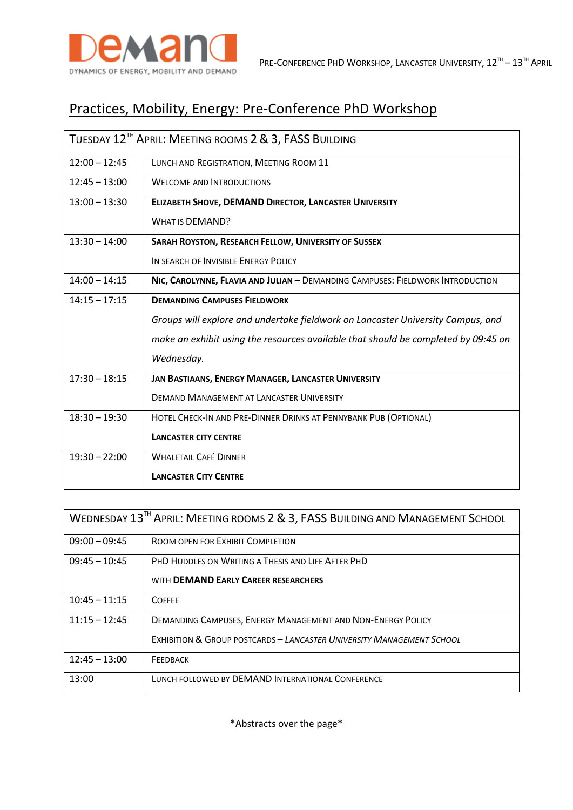

# Practices, Mobility, Energy: Pre-Conference PhD Workshop

| TUESDAY 12 <sup>TH</sup> APRIL: MEETING ROOMS 2 & 3, FASS BUILDING |                                                                                    |
|--------------------------------------------------------------------|------------------------------------------------------------------------------------|
| $12:00 - 12:45$                                                    | LUNCH AND REGISTRATION, MEETING ROOM 11                                            |
| $12:45 - 13:00$                                                    | <b>WELCOME AND INTRODUCTIONS</b>                                                   |
| $13:00 - 13:30$                                                    | ELIZABETH SHOVE, DEMAND DIRECTOR, LANCASTER UNIVERSITY                             |
|                                                                    | <b>WHAT IS DEMAND?</b>                                                             |
| $13:30 - 14:00$                                                    | SARAH ROYSTON, RESEARCH FELLOW, UNIVERSITY OF SUSSEX                               |
|                                                                    | IN SEARCH OF INVISIBLE ENERGY POLICY                                               |
| $14:00 - 14:15$                                                    | NIC, CAROLYNNE, FLAVIA AND JULIAN - DEMANDING CAMPUSES: FIELDWORK INTRODUCTION     |
| $14:15 - 17:15$                                                    | <b>DEMANDING CAMPUSES FIELDWORK</b>                                                |
|                                                                    | Groups will explore and undertake fieldwork on Lancaster University Campus, and    |
|                                                                    | make an exhibit using the resources available that should be completed by 09:45 on |
|                                                                    | Wednesday.                                                                         |
| $17:30 - 18:15$                                                    | JAN BASTIAANS, ENERGY MANAGER, LANCASTER UNIVERSITY                                |
|                                                                    | <b>DEMAND MANAGEMENT AT LANCASTER UNIVERSITY</b>                                   |
| $18:30 - 19:30$                                                    | HOTEL CHECK-IN AND PRE-DINNER DRINKS AT PENNYBANK PUB (OPTIONAL)                   |
|                                                                    | <b>LANCASTER CITY CENTRE</b>                                                       |
| $19:30 - 22:00$                                                    | <b>WHALETAIL CAFÉ DINNER</b>                                                       |
|                                                                    | <b>LANCASTER CITY CENTRE</b>                                                       |

| WEDNESDAY 13 <sup>TH</sup> APRIL: MEETING ROOMS 2 & 3, FASS BUILDING AND MANAGEMENT SCHOOL |                                                                                                                                                 |
|--------------------------------------------------------------------------------------------|-------------------------------------------------------------------------------------------------------------------------------------------------|
| $09:00 - 09:45$                                                                            | ROOM OPEN FOR EXHIBIT COMPLETION                                                                                                                |
| $09:45 - 10:45$                                                                            | PHD HUDDLES ON WRITING A THESIS AND LIFE AFTER PHD<br>WITH <b>DEMAND EARLY CAREER RESEARCHERS</b>                                               |
| $10:45 - 11:15$                                                                            | <b>COFFEE</b>                                                                                                                                   |
| $11:15 - 12:45$                                                                            | DEMANDING CAMPUSES, ENERGY MANAGEMENT AND NON-ENERGY POLICY<br><b>EXHIBITION &amp; GROUP POSTCARDS - LANCASTER UNIVERSITY MANAGEMENT SCHOOL</b> |
| $12:45 - 13:00$                                                                            | FEEDBACK                                                                                                                                        |
| 13:00                                                                                      | LUNCH FOLLOWED BY DEMAND INTERNATIONAL CONFERENCE                                                                                               |

\*Abstracts over the page\*